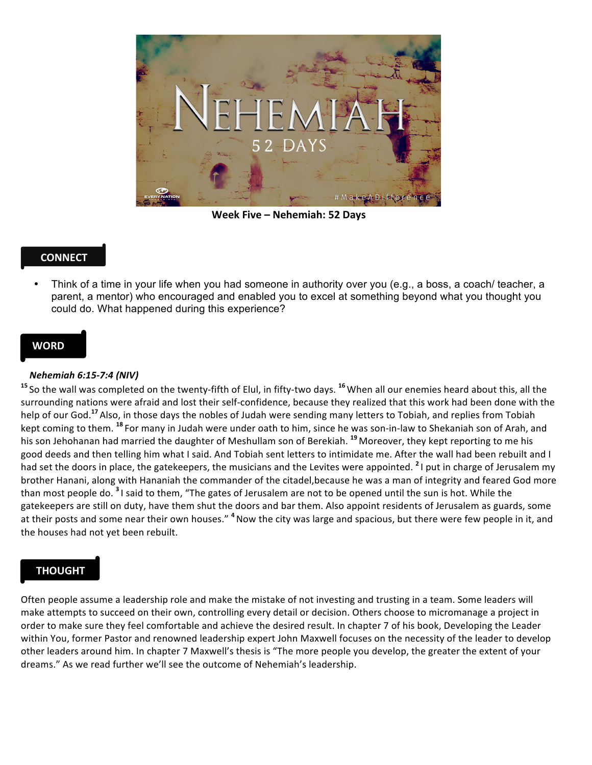

**Week Five – Nehemiah: 52 Days**

# **CONNECT**

• Think of a time in your life when you had someone in authority over you (e.g., a boss, a coach/ teacher, a parent, a mentor) who encouraged and enabled you to excel at something beyond what you thought you could do. What happened during this experience?

### **WORD**

#### *Nehemiah 6:15-7:4 (NIV)*

<sup>15</sup> So the wall was completed on the twenty-fifth of Elul, in fifty-two days. <sup>16</sup> When all our enemies heard about this, all the surrounding nations were afraid and lost their self-confidence, because they realized that this work had been done with the help of our God.<sup>17</sup> Also, in those days the nobles of Judah were sending many letters to Tobiah, and replies from Tobiah kept coming to them. <sup>18</sup> For many in Judah were under oath to him, since he was son-in-law to Shekaniah son of Arah, and his son Jehohanan had married the daughter of Meshullam son of Berekiah.<sup>19</sup> Moreover, they kept reporting to me his good deeds and then telling him what I said. And Tobiah sent letters to intimidate me. After the wall had been rebuilt and I had set the doors in place, the gatekeepers, the musicians and the Levites were appointed. <sup>2</sup> I put in charge of Jerusalem my brother Hanani, along with Hananiah the commander of the citadel, because he was a man of integrity and feared God more than most people do. <sup>3</sup> I said to them, "The gates of Jerusalem are not to be opened until the sun is hot. While the gatekeepers are still on duty, have them shut the doors and bar them. Also appoint residents of Jerusalem as guards, some at their posts and some near their own houses." <sup>4</sup> Now the city was large and spacious, but there were few people in it, and the houses had not yet been rebuilt.

## **THOUGHT**

Often people assume a leadership role and make the mistake of not investing and trusting in a team. Some leaders will make attempts to succeed on their own, controlling every detail or decision. Others choose to micromanage a project in order to make sure they feel comfortable and achieve the desired result. In chapter 7 of his book, Developing the Leader within You, former Pastor and renowned leadership expert John Maxwell focuses on the necessity of the leader to develop other leaders around him. In chapter 7 Maxwell's thesis is "The more people you develop, the greater the extent of your dreams." As we read further we'll see the outcome of Nehemiah's leadership.